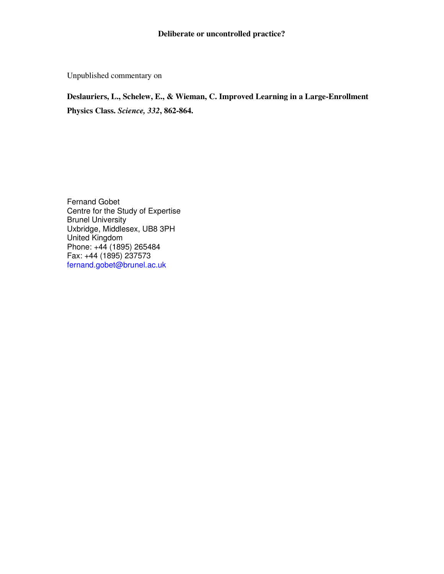## **Deliberate or uncontrolled practice?**

Unpublished commentary on

## **Deslauriers, L., Schelew, E., & Wieman, C. Improved Learning in a Large-Enrollment Physics Class.** *Science, 332***, 862-864.**

Fernand Gobet Centre for the Study of Expertise Brunel University Uxbridge, Middlesex, UB8 3PH United Kingdom Phone: +44 (1895) 265484 Fax: +44 (1895) 237573 fernand.gobet@brunel.ac.uk